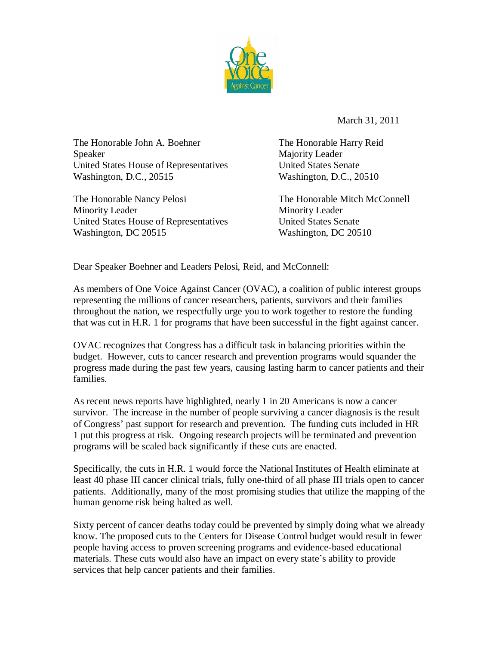

March 31, 2011

The Honorable John A. Boehner The Honorable Harry Reid Speaker Majority Leader United States House of Representatives United States Senate Washington, D.C., 20515 Washington, D.C., 20510

The Honorable Nancy Pelosi The Honorable Mitch McConnell Minority Leader Minority Leader United States House of Representatives United States Senate Washington, DC 20515 Washington, DC 20510

Dear Speaker Boehner and Leaders Pelosi, Reid, and McConnell:

As members of One Voice Against Cancer (OVAC), a coalition of public interest groups representing the millions of cancer researchers, patients, survivors and their families throughout the nation, we respectfully urge you to work together to restore the funding that was cut in H.R. 1 for programs that have been successful in the fight against cancer.

OVAC recognizes that Congress has a difficult task in balancing priorities within the budget. However, cuts to cancer research and prevention programs would squander the progress made during the past few years, causing lasting harm to cancer patients and their families.

As recent news reports have highlighted, nearly 1 in 20 Americans is now a cancer survivor. The increase in the number of people surviving a cancer diagnosis is the result of Congress' past support for research and prevention. The funding cuts included in HR 1 put this progress at risk. Ongoing research projects will be terminated and prevention programs will be scaled back significantly if these cuts are enacted.

Specifically, the cuts in H.R. 1 would force the National Institutes of Health eliminate at least 40 phase III cancer clinical trials, fully one-third of all phase III trials open to cancer patients. Additionally, many of the most promising studies that utilize the mapping of the human genome risk being halted as well.

Sixty percent of cancer deaths today could be prevented by simply doing what we already know. The proposed cuts to the Centers for Disease Control budget would result in fewer people having access to proven screening programs and evidence-based educational materials. These cuts would also have an impact on every state's ability to provide services that help cancer patients and their families.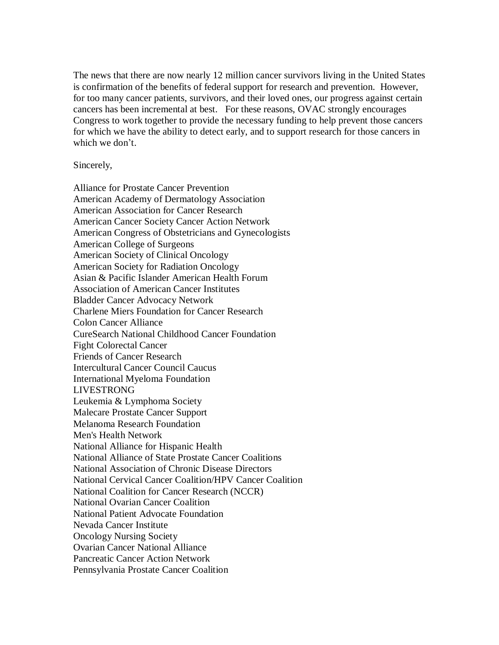The news that there are now nearly 12 million cancer survivors living in the United States is confirmation of the benefits of federal support for research and prevention. However, for too many cancer patients, survivors, and their loved ones, our progress against certain cancers has been incremental at best. For these reasons, OVAC strongly encourages Congress to work together to provide the necessary funding to help prevent those cancers for which we have the ability to detect early, and to support research for those cancers in which we don't.

Sincerely,

Alliance for Prostate Cancer Prevention American Academy of Dermatology Association American Association for Cancer Research American Cancer Society Cancer Action Network American Congress of Obstetricians and Gynecologists American College of Surgeons American Society of Clinical Oncology American Society for Radiation Oncology Asian & Pacific Islander American Health Forum Association of American Cancer Institutes Bladder Cancer Advocacy Network Charlene Miers Foundation for Cancer Research Colon Cancer Alliance CureSearch National Childhood Cancer Foundation Fight Colorectal Cancer Friends of Cancer Research Intercultural Cancer Council Caucus International Myeloma Foundation LIVESTRONG Leukemia & Lymphoma Society Malecare Prostate Cancer Support Melanoma Research Foundation Men's Health Network National Alliance for Hispanic Health National Alliance of State Prostate Cancer Coalitions National Association of Chronic Disease Directors National Cervical Cancer Coalition/HPV Cancer Coalition National Coalition for Cancer Research (NCCR) National Ovarian Cancer Coalition National Patient Advocate Foundation Nevada Cancer Institute Oncology Nursing Society Ovarian Cancer National Alliance Pancreatic Cancer Action Network Pennsylvania Prostate Cancer Coalition